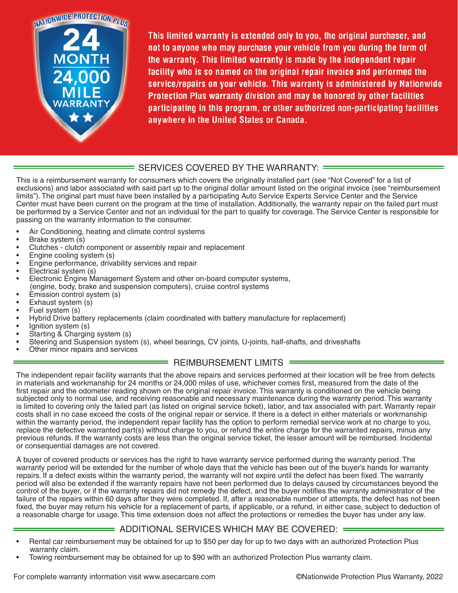

This limited warranty is extended only to you, the original purchaser, and not to anyone who may purchase your vehicle from you during the term of the warranty. This limited warranty is made by the independent repair facility who is so named on the original repair invoice and performed the service/repairs on your vehicle. This warranty is administered by Nationwide Protection Plus warranty division and may be honored by other facilities participating in this program, or other authorized non-participating facilities anywhere in the United States or Canada.

## = SERVICES COVERED BY THE WARRANTY: =

This is a reimbursement warranty for consumers which covers the originally installed part (see "Not Covered" for a list of exclusions) and labor associated with said part up to the original dollar amount listed on the original invoice (see "reimbursement limits"). The original part must have been installed by a participating Auto Service Experts Service Center and the Service Center must have been current on the program at the time of installation. Additionally, the warranty repair on the failed part must be performed by a Service Center and not an individual for the part to qualify for coverage. The Service Center is responsible for passing on the warranty information to the consumer.

- Air Conditioning, heating and climate control systems
- Brake system (s)
- Clutches clutch component or assembly repair and replacement
- Engine cooling system (s)
- Engine performance, drivability services and repair
- Electrical system (s)
- Electronic Engine Management System and other on-board computer systems, (engine, body, brake and suspension computers), cruise control systems
- Emission control system (s)
- Exhaust system (s)
- Fuel system (s)
- Hybrid Drive battery replacements (claim coordinated with battery manufacture for replacement)
- Ignition system (s)
- Starting & Charging system (s)
- Steering and Suspension system (s), wheel bearings, CV joints, U-joints, half-shafts, and driveshafts
- Other minor repairs and services

### REIMBURSEMENT LIMITS =

The independent repair facility warrants that the above repairs and services performed at their location will be free from defects in materials and workmanship for 24 months or 24,000 miles of use, whichever comes first, measured from the date of the first repair and the odometer reading shown on the original repair invoice. This warranty is conditioned on the vehicle being subjected only to normal use, and receiving reasonable and necessary maintenance during the warranty period. This warranty is limited to covering only the failed part (as listed on original service ticket), labor, and tax associated with part. Warranty repair costs shall in no case exceed the costs of the original repair or service. If there is a defect in either materials or workmanship within the warranty period, the independent repair facility has the option to perform remedial service work at no charge to you, replace the defective warranted part(s) without charge to you, or refund the entire charge for the warranted repairs, minus any previous refunds. If the warranty costs are less than the original service ticket, the lesser amount will be reimbursed. Incidental or consequential damages are not covered.

A buyer of covered products or services has the right to have warranty service performed during the warranty period. The warranty period will be extended for the number of whole days that the vehicle has been out of the buyer's hands for warranty repairs. If a defect exists within the warranty period, the warranty will not expire until the defect has been fixed. The warranty period will also be extended if the warranty repairs have not been performed due to delays caused by circumstances beyond the control of the buyer, or if the warranty repairs did not remedy the defect, and the buyer notifies the warranty administrator of the failure of the repairs within 60 days after they were completed. If, after a reasonable number of attempts, the defect has not been fixed, the buyer may return his vehicle for a replacement of parts, if applicable, or a refund, in either case, subject to deduction of a reasonable charge for usage. This time extension does not affect the protections or remedies the buyer has under any law.

### ADDITIONAL SERVICES WHICH MAY BE COVERED:

- Rental car reimbursement may be obtained for up to \$50 per day for up to two days with an authorized Protection Plus warranty claim.
- Towing reimbursement may be obtained for up to \$90 with an authorized Protection Plus warranty claim.